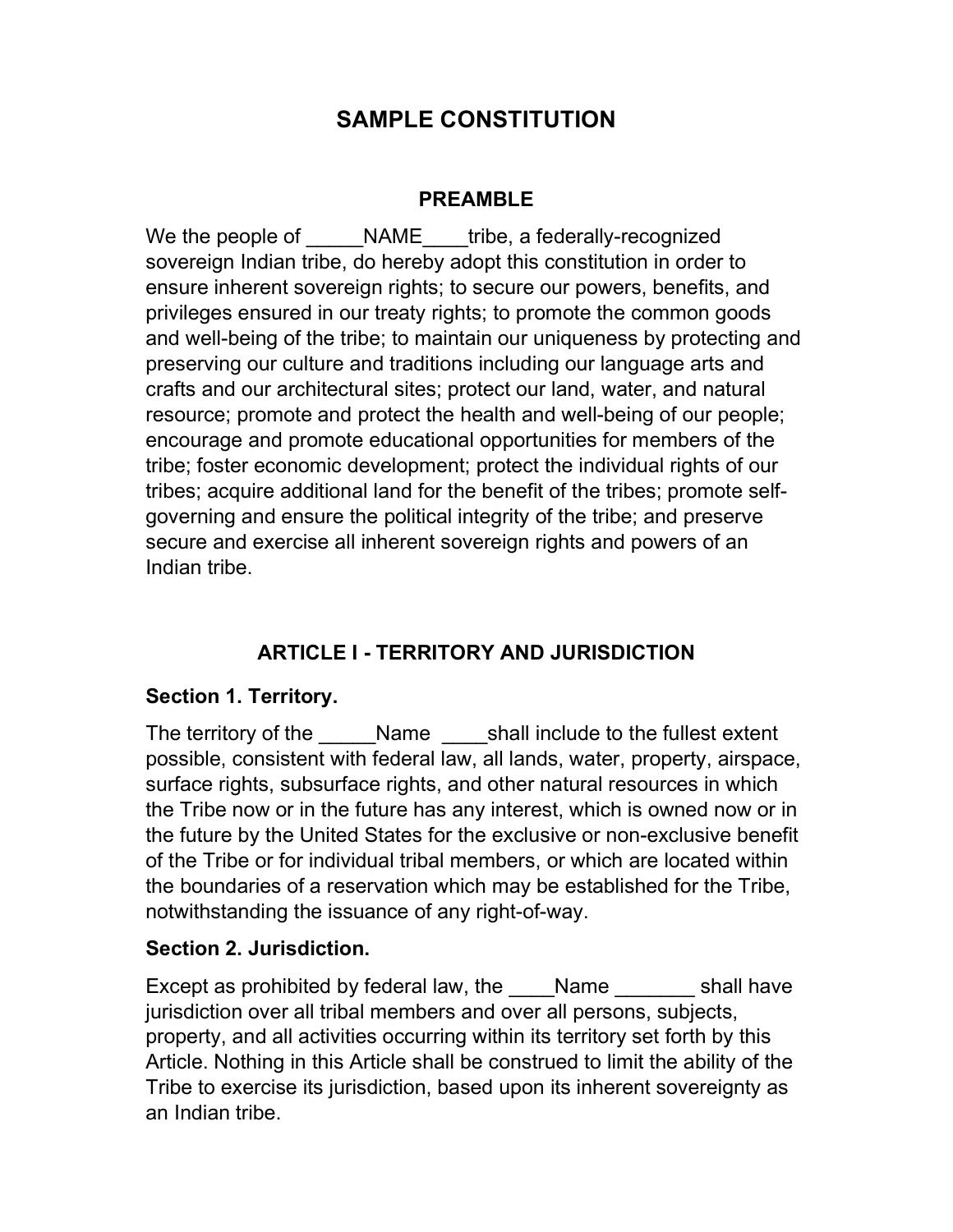# SAMPLE CONSTITUTION

#### PREAMBLE

We the people of \_\_\_\_\_NAME\_\_\_\_tribe, a federally-recognized sovereign Indian tribe, do hereby adopt this constitution in order to ensure inherent sovereign rights; to secure our powers, benefits, and privileges ensured in our treaty rights; to promote the common goods and well-being of the tribe; to maintain our uniqueness by protecting and preserving our culture and traditions including our language arts and crafts and our architectural sites; protect our land, water, and natural resource; promote and protect the health and well-being of our people; encourage and promote educational opportunities for members of the tribe; foster economic development; protect the individual rights of our tribes; acquire additional land for the benefit of the tribes; promote selfgoverning and ensure the political integrity of the tribe; and preserve secure and exercise all inherent sovereign rights and powers of an Indian tribe.

# ARTICLE I - TERRITORY AND JURISDICTION

## Section 1. Territory.

The territory of the Thame Languist Shall include to the fullest extent possible, consistent with federal law, all lands, water, property, airspace, surface rights, subsurface rights, and other natural resources in which the Tribe now or in the future has any interest, which is owned now or in the future by the United States for the exclusive or non-exclusive benefit of the Tribe or for individual tribal members, or which are located within the boundaries of a reservation which may be established for the Tribe, notwithstanding the issuance of any right-of-way.

## Section 2. Jurisdiction.

Except as prohibited by federal law, the Mame shall have jurisdiction over all tribal members and over all persons, subjects, property, and all activities occurring within its territory set forth by this Article. Nothing in this Article shall be construed to limit the ability of the Tribe to exercise its jurisdiction, based upon its inherent sovereignty as an Indian tribe.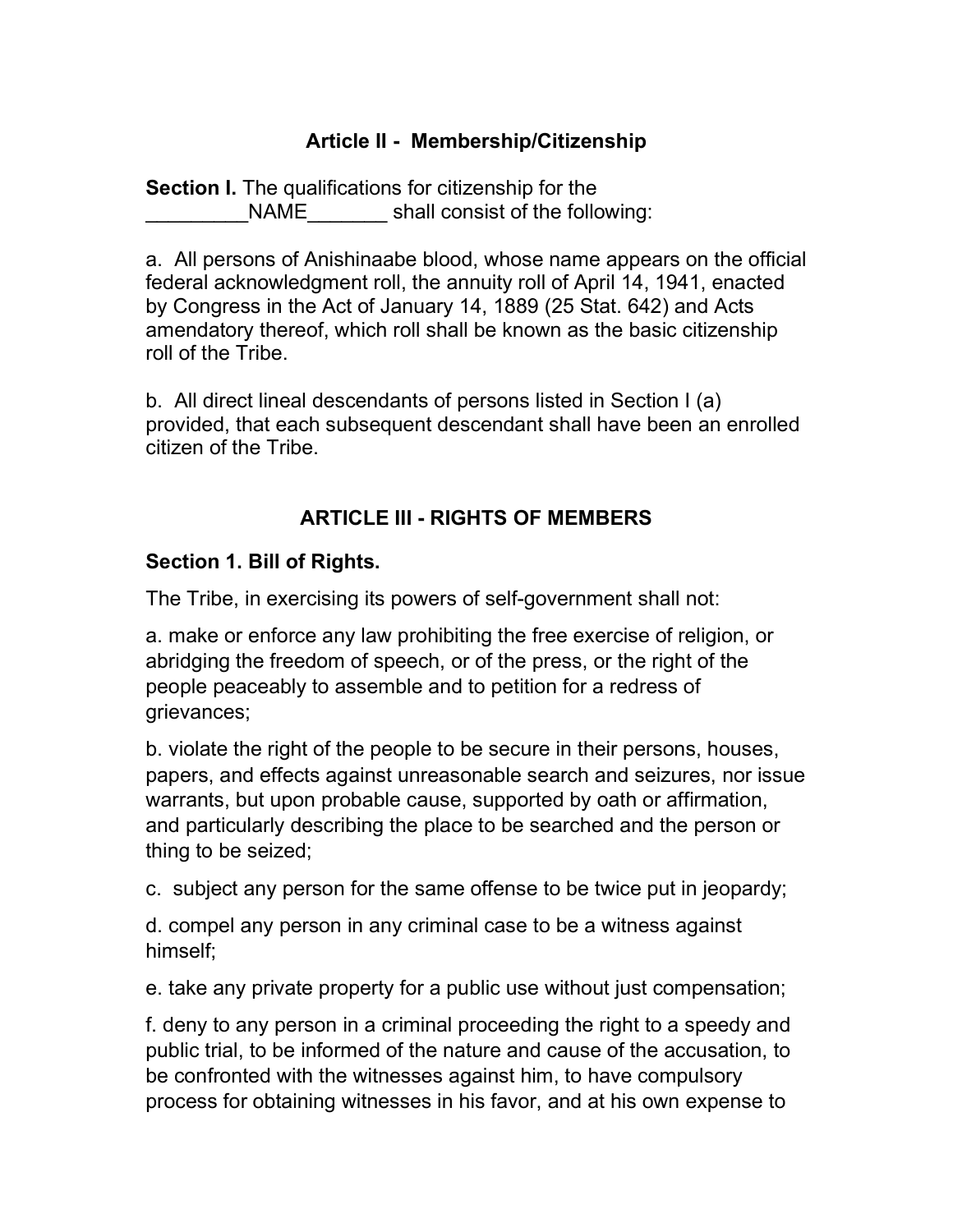### Article II - Membership/Citizenship

Section I. The qualifications for citizenship for the NAME shall consist of the following:

a. All persons of Anishinaabe blood, whose name appears on the official federal acknowledgment roll, the annuity roll of April 14, 1941, enacted by Congress in the Act of January 14, 1889 (25 Stat. 642) and Acts amendatory thereof, which roll shall be known as the basic citizenship roll of the Tribe.

b. All direct lineal descendants of persons listed in Section I (a) provided, that each subsequent descendant shall have been an enrolled citizen of the Tribe.

## ARTICLE III - RIGHTS OF MEMBERS

#### Section 1. Bill of Rights.

The Tribe, in exercising its powers of self-government shall not:

a. make or enforce any law prohibiting the free exercise of religion, or abridging the freedom of speech, or of the press, or the right of the people peaceably to assemble and to petition for a redress of grievances;

b. violate the right of the people to be secure in their persons, houses, papers, and effects against unreasonable search and seizures, nor issue warrants, but upon probable cause, supported by oath or affirmation, and particularly describing the place to be searched and the person or thing to be seized;

c. subject any person for the same offense to be twice put in jeopardy;

d. compel any person in any criminal case to be a witness against himself;

e. take any private property for a public use without just compensation;

f. deny to any person in a criminal proceeding the right to a speedy and public trial, to be informed of the nature and cause of the accusation, to be confronted with the witnesses against him, to have compulsory process for obtaining witnesses in his favor, and at his own expense to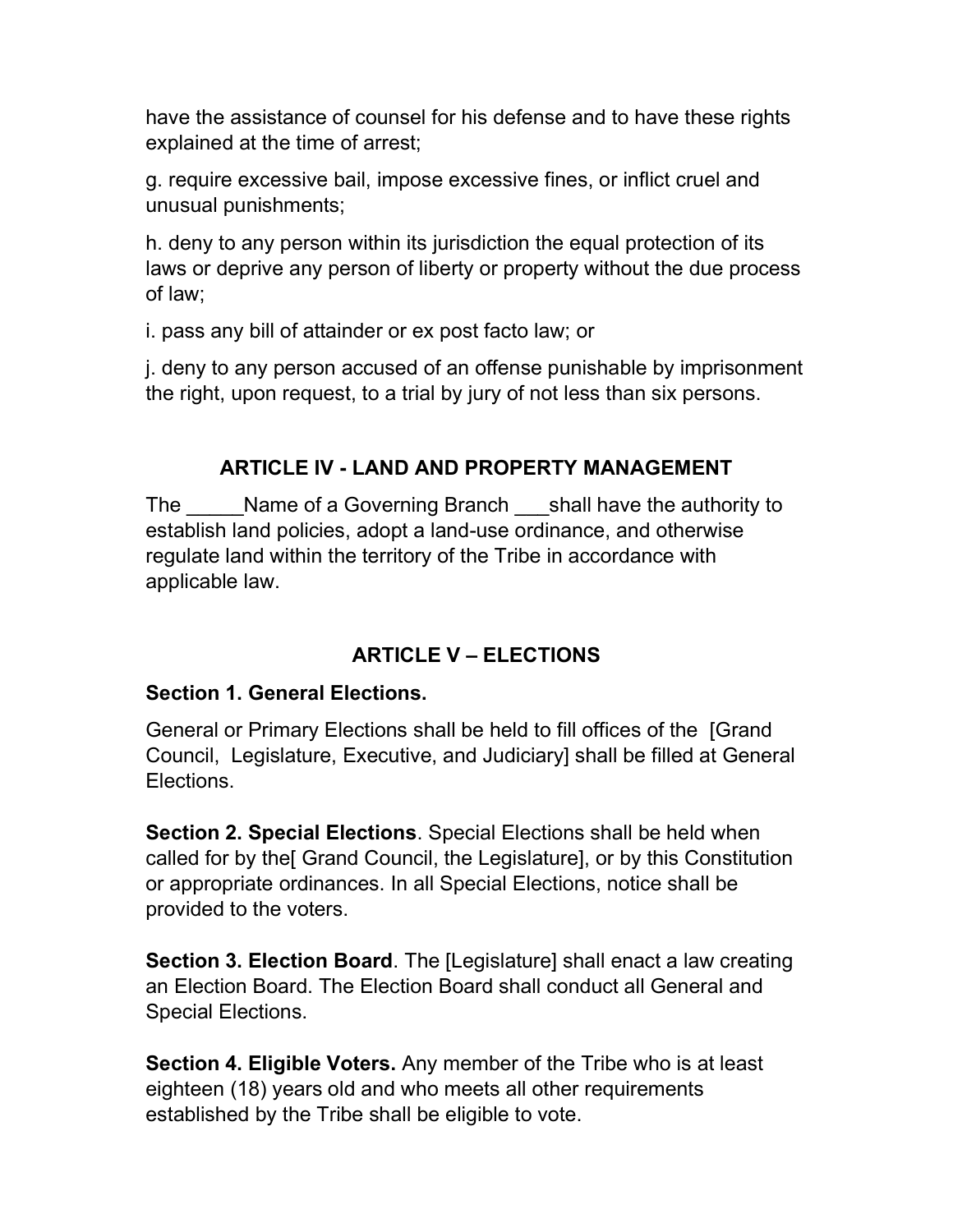have the assistance of counsel for his defense and to have these rights explained at the time of arrest;

g. require excessive bail, impose excessive fines, or inflict cruel and unusual punishments;

h. deny to any person within its jurisdiction the equal protection of its laws or deprive any person of liberty or property without the due process of law;

i. pass any bill of attainder or ex post facto law; or

j. deny to any person accused of an offense punishable by imprisonment the right, upon request, to a trial by jury of not less than six persons.

## ARTICLE IV - LAND AND PROPERTY MANAGEMENT

The Mame of a Governing Branch shall have the authority to establish land policies, adopt a land-use ordinance, and otherwise regulate land within the territory of the Tribe in accordance with applicable law.

## ARTICLE V – ELECTIONS

#### Section 1. General Elections.

General or Primary Elections shall be held to fill offices of the [Grand Council, Legislature, Executive, and Judiciary] shall be filled at General Elections.

Section 2. Special Elections. Special Elections shall be held when called for by the[ Grand Council, the Legislature], or by this Constitution or appropriate ordinances. In all Special Elections, notice shall be provided to the voters.

Section 3. Election Board. The [Legislature] shall enact a law creating an Election Board. The Election Board shall conduct all General and Special Elections.

Section 4. Eligible Voters. Any member of the Tribe who is at least eighteen (18) years old and who meets all other requirements established by the Tribe shall be eligible to vote.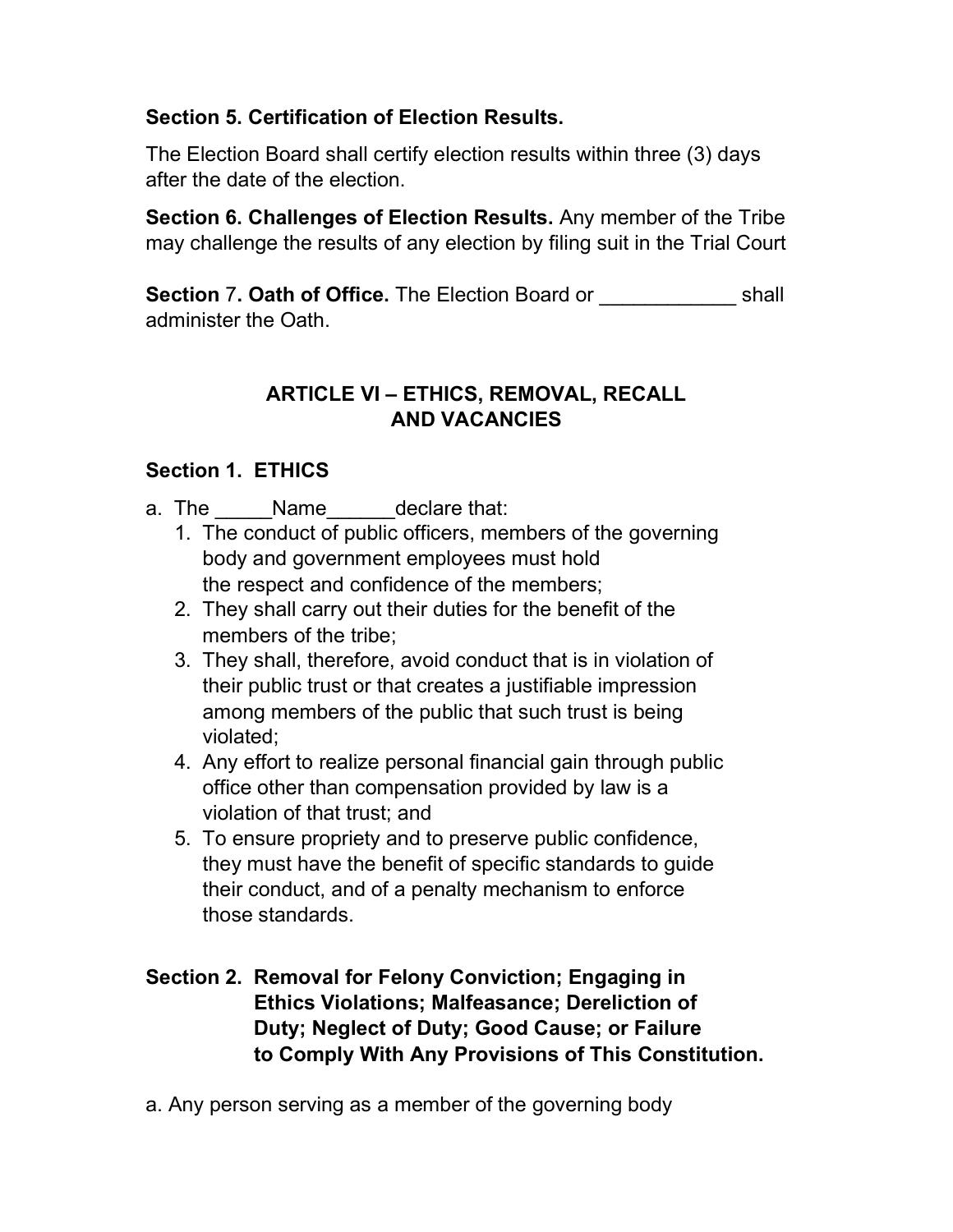## Section 5. Certification of Election Results.

The Election Board shall certify election results within three (3) days after the date of the election.

Section 6. Challenges of Election Results. Any member of the Tribe may challenge the results of any election by filing suit in the Trial Court

Section 7. Oath of Office. The Election Board or The Shall administer the Oath.

## ARTICLE VI – ETHICS, REMOVAL, RECALL AND VACANCIES

## Section 1. ETHICS

- a. The \_\_\_\_\_Name\_\_\_\_\_\_declare that:
	- 1. The conduct of public officers, members of the governing body and government employees must hold the respect and confidence of the members;
	- 2. They shall carry out their duties for the benefit of the members of the tribe;
	- 3. They shall, therefore, avoid conduct that is in violation of their public trust or that creates a justifiable impression among members of the public that such trust is being violated;
	- 4. Any effort to realize personal financial gain through public office other than compensation provided by law is a violation of that trust; and
	- 5. To ensure propriety and to preserve public confidence, they must have the benefit of specific standards to guide their conduct, and of a penalty mechanism to enforce those standards.

## Section 2. Removal for Felony Conviction; Engaging in Ethics Violations; Malfeasance; Dereliction of Duty; Neglect of Duty; Good Cause; or Failure to Comply With Any Provisions of This Constitution.

a. Any person serving as a member of the governing body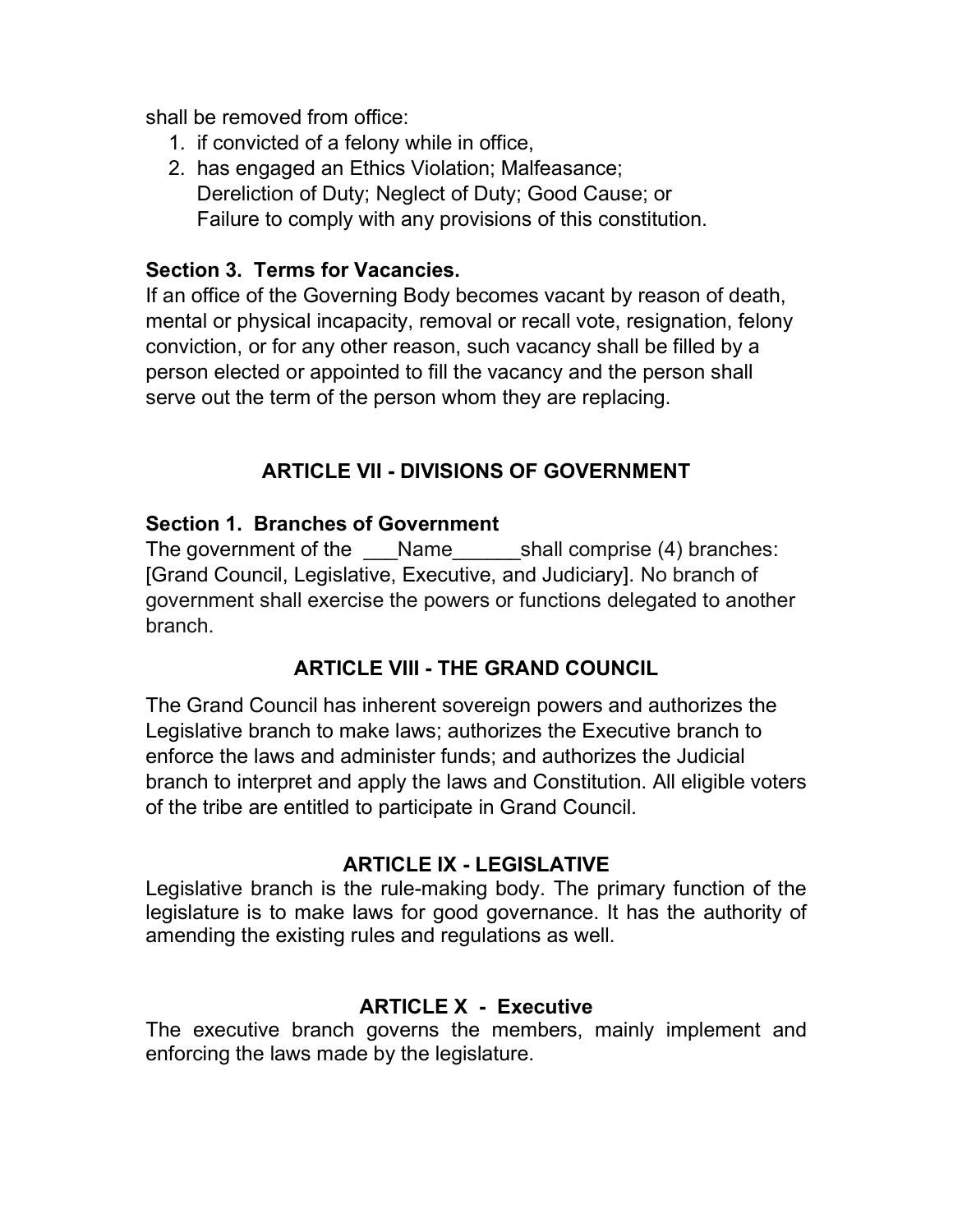shall be removed from office:

- 1. if convicted of a felony while in office,
- 2. has engaged an Ethics Violation; Malfeasance; Dereliction of Duty; Neglect of Duty; Good Cause; or Failure to comply with any provisions of this constitution.

#### Section 3. Terms for Vacancies.

If an office of the Governing Body becomes vacant by reason of death, mental or physical incapacity, removal or recall vote, resignation, felony conviction, or for any other reason, such vacancy shall be filled by a person elected or appointed to fill the vacancy and the person shall serve out the term of the person whom they are replacing.

## ARTICLE VII - DIVISIONS OF GOVERNMENT

#### Section 1. Branches of Government

The government of the \_\_\_Name\_\_\_\_\_\_shall comprise (4) branches: [Grand Council, Legislative, Executive, and Judiciary]. No branch of government shall exercise the powers or functions delegated to another branch.

#### ARTICLE VIII - THE GRAND COUNCIL

The Grand Council has inherent sovereign powers and authorizes the Legislative branch to make laws; authorizes the Executive branch to enforce the laws and administer funds; and authorizes the Judicial branch to interpret and apply the laws and Constitution. All eligible voters of the tribe are entitled to participate in Grand Council.

#### ARTICLE IX - LEGISLATIVE

Legislative branch is the rule-making body. The primary function of the legislature is to make laws for good governance. It has the authority of amending the existing rules and regulations as well.

#### ARTICLE X - Executive

The executive branch governs the members, mainly implement and enforcing the laws made by the legislature.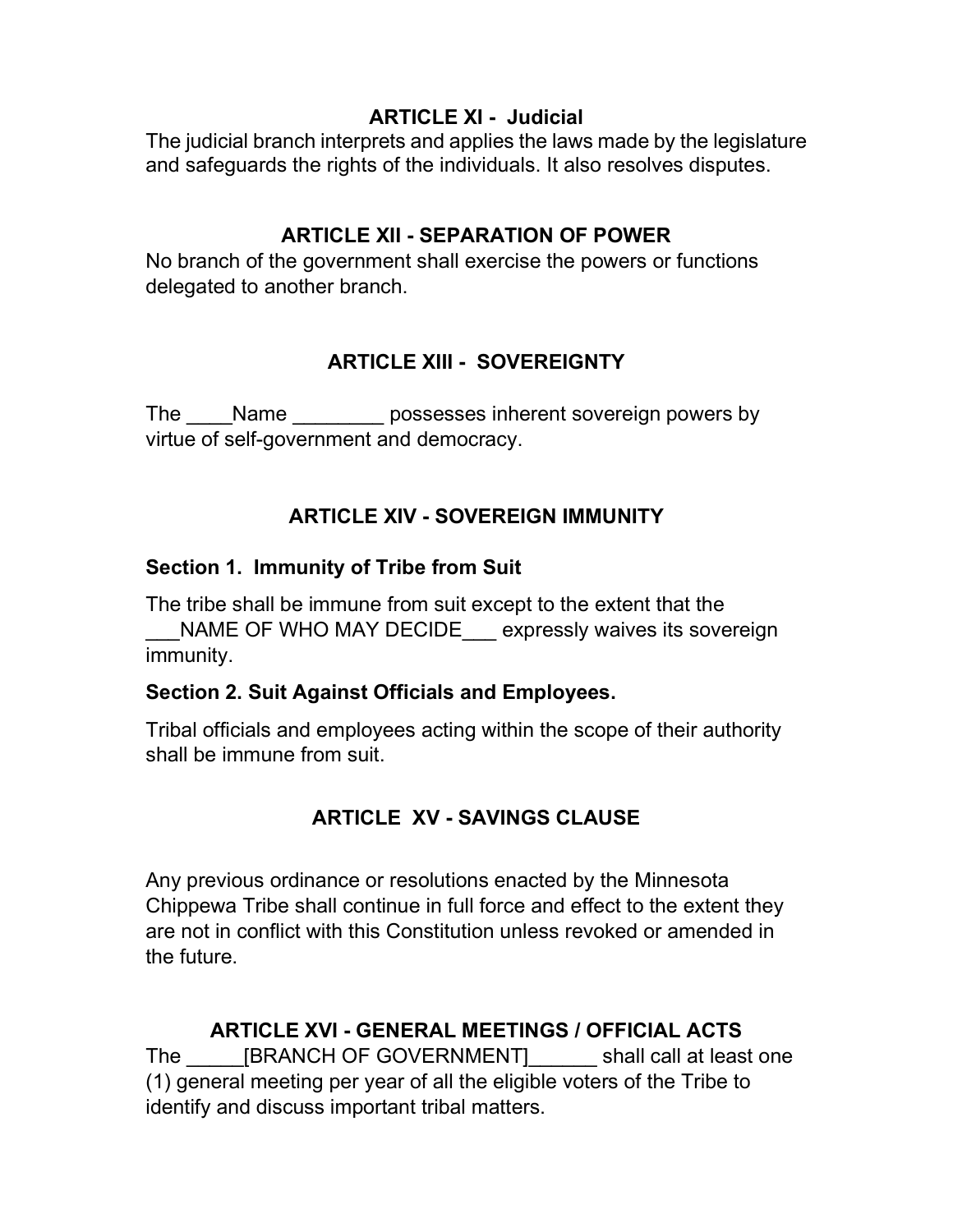## ARTICLE XI - Judicial

The judicial branch interprets and applies the laws made by the legislature and safeguards the rights of the individuals. It also resolves disputes.

## ARTICLE XII - SEPARATION OF POWER

No branch of the government shall exercise the powers or functions delegated to another branch.

## ARTICLE XIII - SOVEREIGNTY

The Name possesses inherent sovereign powers by virtue of self-government and democracy.

## ARTICLE XIV - SOVEREIGN IMMUNITY

## Section 1. Immunity of Tribe from Suit

The tribe shall be immune from suit except to the extent that the NAME OF WHO MAY DECIDE expressly waives its sovereign immunity.

## Section 2. Suit Against Officials and Employees.

Tribal officials and employees acting within the scope of their authority shall be immune from suit.

# ARTICLE XV - SAVINGS CLAUSE

Any previous ordinance or resolutions enacted by the Minnesota Chippewa Tribe shall continue in full force and effect to the extent they are not in conflict with this Constitution unless revoked or amended in the future.

## ARTICLE XVI - GENERAL MEETINGS / OFFICIAL ACTS

The \_\_\_\_\_\_[BRANCH OF GOVERNMENT]\_\_\_\_\_\_\_ shall call at least one (1) general meeting per year of all the eligible voters of the Tribe to identify and discuss important tribal matters.